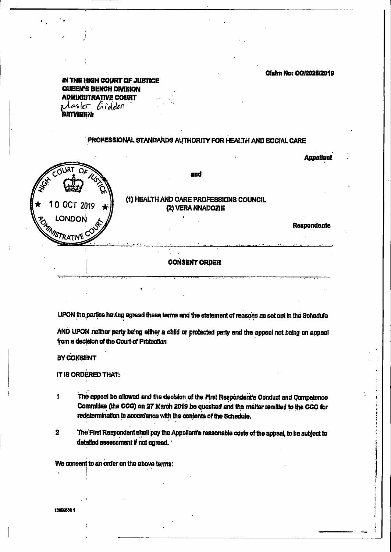### **Claim No: CO/2025/2019**

IN THE HIGH COURT OF JUSTICE **QUEEN'S BENCH DIVISION ADMINISTRATIVE COURT**  $G$ idden i Aaskr **BETWEEN:** 

#### PROFESSIONAL STANDARDS AUTHORITY FOR HEALTH AND SOCIAL CARE



UPON the parties having agreed these terms and the statement of reasons as set out in the Schedule

AND UPON neither party being either a child or protected party and the appeal not being an appeal from a decision of the Court of Protection

BY CONSENT

1

IT IS ORDERED THAT:

للمستحق والمستحث والتواشي والمتقارب المستحقق المستحقق والمستحقق والمستحقق والمستحقق والمستحقق والمستحقق والمستحقق والمستحقق

The appeal be allowed and the decision of the First Respondent's Conduct and Competence Committee (the CCC) on 27 March 2019 be quashed and the matter remitted to the CCC for

# redetermination in accordance with the contents of the Schedule.

The First Respondent shall pay the Appellant's reasonable costs of the appeal, to be subject to  $2<sup>1</sup>$ detailed assessment if not agreed.

We consent to an order on the above terms:

183588821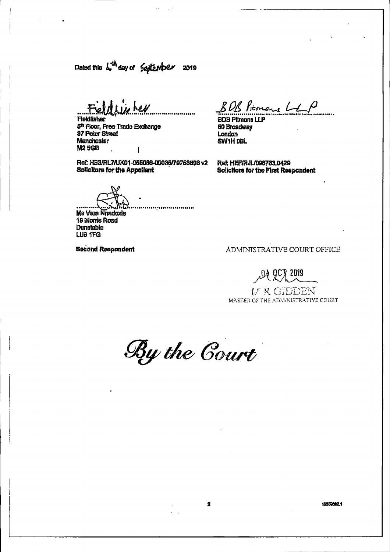Dated this  $L^{\text{th}}$  day of  $\int$   $\omega$  tensor 2019

 $\sim 100$ 

Feldfun her Flekinsher 5<sup>n</sup> Floor, Free Trade Exchange **37 Peter Street** 

BOB Pierrare Let

 $\mathbf{A}$ 

 $\mathbf{R}^{\prime}$ 

**BDB Plimans LLP** 50 Broadway London

Manchester M2 5GB

 $\mathbf{R}^{\mathrm{eff}}$ 

 $\blacktriangleleft$ 

# SW1H DBL

Ref: HB3/RL7/UK01-055066-00035/79753608 v2 **Solicitors for the Appellant** 

Ref: HEF/RJL/098783.0429 Solicitors for the First Respondent

 $\bullet$ an is in the series of the state of the series of the series of the series of the series of the series of the Ms Vera Nnadozle **19 Monts Road Dunstable** LU8 1FG

**Second Respondent** 

 $\bullet$ 

# ADMINISTRATIVE COURT OFFICE

04 807 2019

# MEGISTENT MASTER OF THE ADMINISTRATIVE COURT



 $\mathcal{F}^{\text{max}}_{\text{max}}$ 

#### 18255621